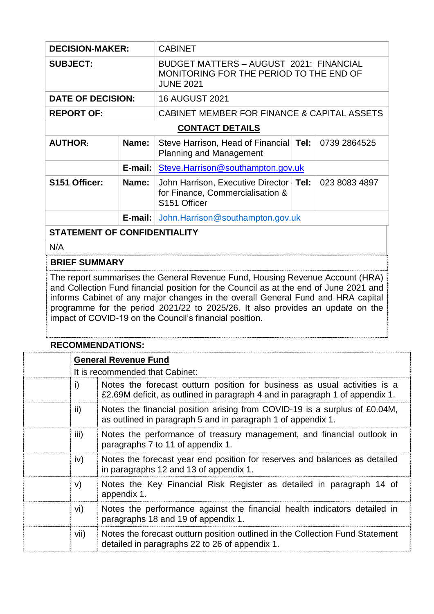| <b>DECISION-MAKER:</b>   |                 | <b>CABINET</b>                                                                                                |      |               |  |
|--------------------------|-----------------|---------------------------------------------------------------------------------------------------------------|------|---------------|--|
| <b>SUBJECT:</b>          |                 | <b>BUDGET MATTERS - AUGUST 2021: FINANCIAL</b><br>MONITORING FOR THE PERIOD TO THE END OF<br><b>JUNE 2021</b> |      |               |  |
| <b>DATE OF DECISION:</b> |                 | <b>16 AUGUST 2021</b>                                                                                         |      |               |  |
| <b>REPORT OF:</b>        |                 | CABINET MEMBER FOR FINANCE & CAPITAL ASSETS                                                                   |      |               |  |
| <b>CONTACT DETAILS</b>   |                 |                                                                                                               |      |               |  |
| <b>AUTHOR:</b>           | Name:           | Steve Harrison, Head of Financial Tel:<br><b>Planning and Management</b>                                      |      | 0739 2864525  |  |
|                          | $E$ -mail:      | Steve.Harrison@southampton.gov.uk                                                                             |      |               |  |
| S151 Officer:            | Name:           | John Harrison, Executive Director<br>for Finance, Commercialisation &<br>S151 Officer                         | Tel: | 023 8083 4897 |  |
|                          | E-mail: $\vert$ | John.Harrison@southampton.gov.uk                                                                              |      |               |  |

### **STATEMENT OF CONFIDENTIALITY**

N/A

#### **BRIEF SUMMARY**

The report summarises the General Revenue Fund, Housing Revenue Account (HRA) and Collection Fund financial position for the Council as at the end of June 2021 and informs Cabinet of any major changes in the overall General Fund and HRA capital programme for the period 2021/22 to 2025/26. It also provides an update on the impact of COVID-19 on the Council's financial position.

### **RECOMMENDATIONS:**

|               | <b>General Revenue Fund</b><br>It is recommended that Cabinet:                                                                                            |  |  |  |  |
|---------------|-----------------------------------------------------------------------------------------------------------------------------------------------------------|--|--|--|--|
|               |                                                                                                                                                           |  |  |  |  |
| i)            | Notes the forecast outturn position for business as usual activities is a<br>£2.69M deficit, as outlined in paragraph 4 and in paragraph 1 of appendix 1. |  |  |  |  |
| $\mathsf{ii}$ | Notes the financial position arising from COVID-19 is a surplus of £0.04M,<br>as outlined in paragraph 5 and in paragraph 1 of appendix 1.                |  |  |  |  |
| iii)          | Notes the performance of treasury management, and financial outlook in<br>paragraphs 7 to 11 of appendix 1.                                               |  |  |  |  |
| iv)           | Notes the forecast year end position for reserves and balances as detailed<br>in paragraphs 12 and 13 of appendix 1.                                      |  |  |  |  |
| V)            | Notes the Key Financial Risk Register as detailed in paragraph 14 of<br>appendix 1.                                                                       |  |  |  |  |
| vi)           | Notes the performance against the financial health indicators detailed in<br>paragraphs 18 and 19 of appendix 1.                                          |  |  |  |  |
| vii)          | Notes the forecast outturn position outlined in the Collection Fund Statement<br>detailed in paragraphs 22 to 26 of appendix 1.                           |  |  |  |  |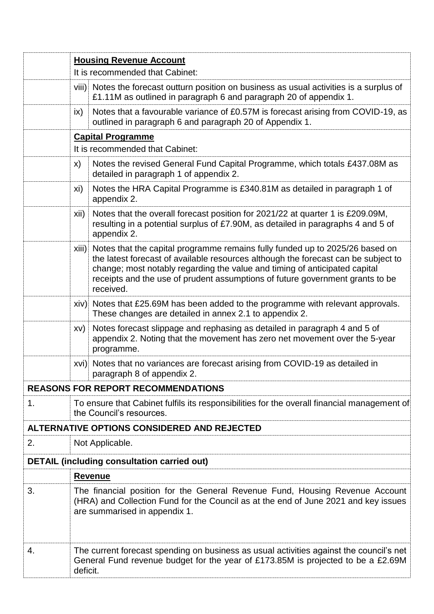|    | <b>Housing Revenue Account</b>                                                                                                                                                                       |                                                                                                                                                                                                                                                                                                                                                      |  |  |  |
|----|------------------------------------------------------------------------------------------------------------------------------------------------------------------------------------------------------|------------------------------------------------------------------------------------------------------------------------------------------------------------------------------------------------------------------------------------------------------------------------------------------------------------------------------------------------------|--|--|--|
|    |                                                                                                                                                                                                      | It is recommended that Cabinet:                                                                                                                                                                                                                                                                                                                      |  |  |  |
|    |                                                                                                                                                                                                      | viii) Notes the forecast outturn position on business as usual activities is a surplus of<br>£1.11M as outlined in paragraph 6 and paragraph 20 of appendix 1.                                                                                                                                                                                       |  |  |  |
|    | $\mathsf{ix}$                                                                                                                                                                                        | Notes that a favourable variance of £0.57M is forecast arising from COVID-19, as<br>outlined in paragraph 6 and paragraph 20 of Appendix 1.                                                                                                                                                                                                          |  |  |  |
|    | <b>Capital Programme</b>                                                                                                                                                                             |                                                                                                                                                                                                                                                                                                                                                      |  |  |  |
|    |                                                                                                                                                                                                      | It is recommended that Cabinet:                                                                                                                                                                                                                                                                                                                      |  |  |  |
|    | X)                                                                                                                                                                                                   | Notes the revised General Fund Capital Programme, which totals £437.08M as<br>detailed in paragraph 1 of appendix 2.                                                                                                                                                                                                                                 |  |  |  |
|    | xi)                                                                                                                                                                                                  | Notes the HRA Capital Programme is £340.81M as detailed in paragraph 1 of<br>appendix 2.                                                                                                                                                                                                                                                             |  |  |  |
|    | xii)                                                                                                                                                                                                 | Notes that the overall forecast position for 2021/22 at quarter 1 is £209.09M,<br>resulting in a potential surplus of £7.90M, as detailed in paragraphs 4 and 5 of<br>appendix 2.                                                                                                                                                                    |  |  |  |
|    |                                                                                                                                                                                                      | xiii) Notes that the capital programme remains fully funded up to 2025/26 based on<br>the latest forecast of available resources although the forecast can be subject to<br>change; most notably regarding the value and timing of anticipated capital<br>receipts and the use of prudent assumptions of future government grants to be<br>received. |  |  |  |
|    |                                                                                                                                                                                                      | xiv) Notes that £25.69M has been added to the programme with relevant approvals.<br>These changes are detailed in annex 2.1 to appendix 2.                                                                                                                                                                                                           |  |  |  |
|    | XV)                                                                                                                                                                                                  | Notes forecast slippage and rephasing as detailed in paragraph 4 and 5 of<br>appendix 2. Noting that the movement has zero net movement over the 5-year<br>programme.                                                                                                                                                                                |  |  |  |
|    |                                                                                                                                                                                                      | xvi) Notes that no variances are forecast arising from COVID-19 as detailed in<br>paragraph 8 of appendix 2.                                                                                                                                                                                                                                         |  |  |  |
|    |                                                                                                                                                                                                      | <b>REASONS FOR REPORT RECOMMENDATIONS</b>                                                                                                                                                                                                                                                                                                            |  |  |  |
| 1. | To ensure that Cabinet fulfils its responsibilities for the overall financial management of<br>the Council's resources.                                                                              |                                                                                                                                                                                                                                                                                                                                                      |  |  |  |
|    |                                                                                                                                                                                                      | ALTERNATIVE OPTIONS CONSIDERED AND REJECTED                                                                                                                                                                                                                                                                                                          |  |  |  |
| 2. |                                                                                                                                                                                                      | Not Applicable.                                                                                                                                                                                                                                                                                                                                      |  |  |  |
|    |                                                                                                                                                                                                      | <b>DETAIL (including consultation carried out)</b>                                                                                                                                                                                                                                                                                                   |  |  |  |
|    |                                                                                                                                                                                                      | <b>Revenue</b>                                                                                                                                                                                                                                                                                                                                       |  |  |  |
| 3. | The financial position for the General Revenue Fund, Housing Revenue Account<br>(HRA) and Collection Fund for the Council as at the end of June 2021 and key issues<br>are summarised in appendix 1. |                                                                                                                                                                                                                                                                                                                                                      |  |  |  |
| 4. | deficit.                                                                                                                                                                                             | The current forecast spending on business as usual activities against the council's net<br>General Fund revenue budget for the year of £173.85M is projected to be a £2.69M                                                                                                                                                                          |  |  |  |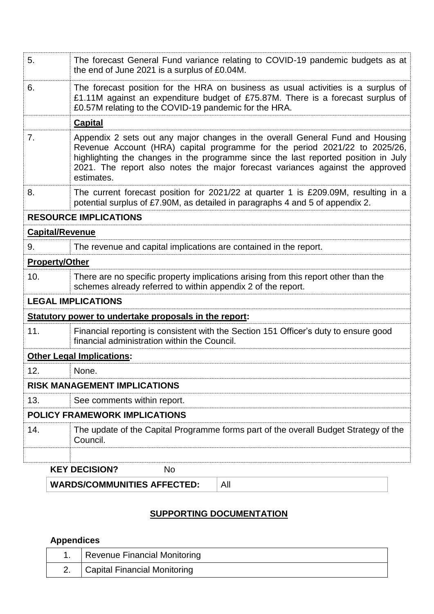|                        | <b>KEY DECISION?</b><br>No.                                                                                                                                                                                                                                                                                                                      |  |
|------------------------|--------------------------------------------------------------------------------------------------------------------------------------------------------------------------------------------------------------------------------------------------------------------------------------------------------------------------------------------------|--|
|                        |                                                                                                                                                                                                                                                                                                                                                  |  |
| 14.                    | The update of the Capital Programme forms part of the overall Budget Strategy of the<br>Council.                                                                                                                                                                                                                                                 |  |
|                        | <b>POLICY FRAMEWORK IMPLICATIONS</b>                                                                                                                                                                                                                                                                                                             |  |
| 13.                    | See comments within report.                                                                                                                                                                                                                                                                                                                      |  |
|                        | <b>RISK MANAGEMENT IMPLICATIONS</b>                                                                                                                                                                                                                                                                                                              |  |
| 12.                    | None.                                                                                                                                                                                                                                                                                                                                            |  |
|                        | <b>Other Legal Implications:</b>                                                                                                                                                                                                                                                                                                                 |  |
| 11.                    | Financial reporting is consistent with the Section 151 Officer's duty to ensure good<br>financial administration within the Council.                                                                                                                                                                                                             |  |
|                        | Statutory power to undertake proposals in the report:                                                                                                                                                                                                                                                                                            |  |
|                        | <b>LEGAL IMPLICATIONS</b>                                                                                                                                                                                                                                                                                                                        |  |
| 10.                    | There are no specific property implications arising from this report other than the<br>schemes already referred to within appendix 2 of the report.                                                                                                                                                                                              |  |
| <b>Property/Other</b>  |                                                                                                                                                                                                                                                                                                                                                  |  |
| 9.                     | The revenue and capital implications are contained in the report.                                                                                                                                                                                                                                                                                |  |
| <b>Capital/Revenue</b> |                                                                                                                                                                                                                                                                                                                                                  |  |
|                        | <b>RESOURCE IMPLICATIONS</b>                                                                                                                                                                                                                                                                                                                     |  |
| 8.                     | The current forecast position for 2021/22 at quarter 1 is £209.09M, resulting in a<br>potential surplus of £7.90M, as detailed in paragraphs 4 and 5 of appendix 2.                                                                                                                                                                              |  |
| 7.                     | Appendix 2 sets out any major changes in the overall General Fund and Housing<br>Revenue Account (HRA) capital programme for the period 2021/22 to 2025/26,<br>highlighting the changes in the programme since the last reported position in July<br>2021. The report also notes the major forecast variances against the approved<br>estimates. |  |
|                        | <b>Capital</b>                                                                                                                                                                                                                                                                                                                                   |  |
| 6.                     | The forecast position for the HRA on business as usual activities is a surplus of<br>£1.11M against an expenditure budget of £75.87M. There is a forecast surplus of<br>£0.57M relating to the COVID-19 pandemic for the HRA.                                                                                                                    |  |
| 5.                     | The forecast General Fund variance relating to COVID-19 pandemic budgets as at<br>the end of June 2021 is a surplus of £0.04M.                                                                                                                                                                                                                   |  |
|                        |                                                                                                                                                                                                                                                                                                                                                  |  |

**WARDS/COMMUNITIES AFFECTED:** All

# **SUPPORTING DOCUMENTATION**

# **Appendices**

| Revenue Financial Monitoring |
|------------------------------|
| Capital Financial Monitoring |